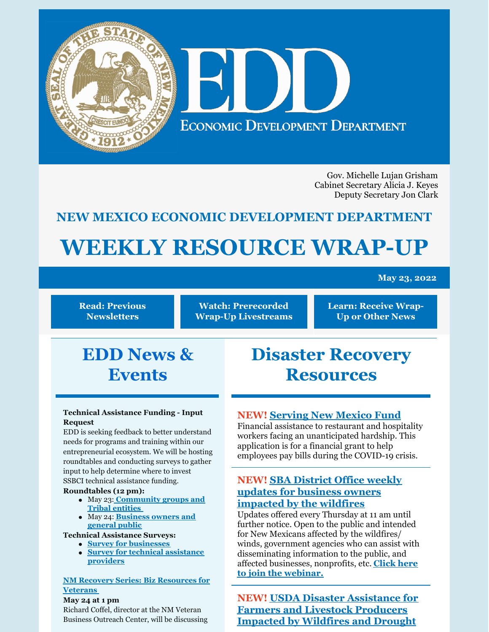

Gov. Michelle Lujan Grisham Cabinet Secretary Alicia J. Keyes Deputy Secretary Jon Clark

# **NEW MEXICO ECONOMIC DEVELOPMENT DEPARTMENT**

# **WEEKLY RESOURCE WRAP-UP**

#### **May 23, 2022**

**Read: Previous [Newsletters](https://edd.newmexico.gov/business-development/stay-informed-newsletters-and-webinars/)**

**Watch: [Prerecorded](https://youtube.com/playlist?list=PLGKR-UpukkDLaIt7LYfG78X31Y3qDftkz) Wrap-Up Livestreams** **Learn: [Receive](https://edd.newmexico.gov/newsletter/) Wrap-Up or Other News**

# **EDD News & Events**

#### **Technical Assistance Funding - Input Request**

EDD is seeking feedback to better understand needs for programs and training within our entrepreneurial ecosystem. We will be hosting roundtables and conducting surveys to gather input to help determine where to invest SSBCI technical assistance funding.

#### **Roundtables (12 pm):**

- May 23: **[Community](https://attendee.gotowebinar.com/register/7982700031617997067) groups and Tribal entities**
- May 24: **[Business](https://attendee.gotowebinar.com/register/6570634631460633867) owners and general public**

#### **Technical Assistance Surveys:**

- **Survey for [businesses](https://www.tfaforms.com/4978601)**
- **Survey for technical [assistance](https://www.tfaforms.com/4982960) providers**

#### **NM Recovery Series: Biz [Resources](https://register.gotowebinar.com/register/1065240272700733968) for Veterans**

**May 24 at 1 pm** Richard Coffel, director at the NM Veteran Business Outreach Center, will be discussing

# **Disaster Recovery Resources**

# **NEW! [Serving](https://www.surveymonkey.com/r/servNMApp) New Mexico Fund**

Financial assistance to restaurant and hospitality workers facing an unanticipated hardship. This application is for a financial grant to help employees pay bills during the COVID-19 crisis.

## **NEW! SBA District Office weekly updates for business owners [impacted](https://www.sba.gov/offices/district/nm/albuquerque?utm_medium=email&utm_source=govdelivery) by the wildfires**

Updates offered every Thursday at 11 am until further notice. Open to the public and intended for New Mexicans affected by the wildfires/ winds, government agencies who can assist with disseminating information to the public, and affected [businesses,](https://teams.microsoft.com/dl/launcher/launcher.html?url=%2F_%23%2Fl%2Fmeetup-join%2F19%3Ameeting_MTFkM2IyZDUtY2U0NC00ODdlLWE1ZjMtODdhNjVhYzVlNjZh%40thread.v2%2F0%3Fcontext%3D%257B%2522Tid%2522%253A%25223c89fd8a-7f68-4667-aa15-41ebf2208961%2522%252C%2522Oid%2522%253A%252203294e47-5844-411f-b8d1-822d7fb3f79d%2522%257D%26utm_medium%3Demail%26utm_source%3Dgovdelivery%26anon%3Dtrue&type=meetup-join&deeplinkId=8b5a8290-313b-4d3d-8084-79baa4010d9e&directDl=true&msLaunch=true&enableMobilePage=false&suppressPrompt=true) nonprofits, etc. **Click here to join the webinar.**

**NEW! USDA Disaster [Assistance](https://www.fsa.usda.gov/state-offices/New-Mexico/news-releases/2022/usda-offers-disaster-assistance-to-new-mexico-farmers-and-livestock-producers-impacted-by-wildfires-and-drought-?utm_medium=email&utm_source=govdelivery) for Farmers and Livestock Producers Impacted by Wildfires and Drought**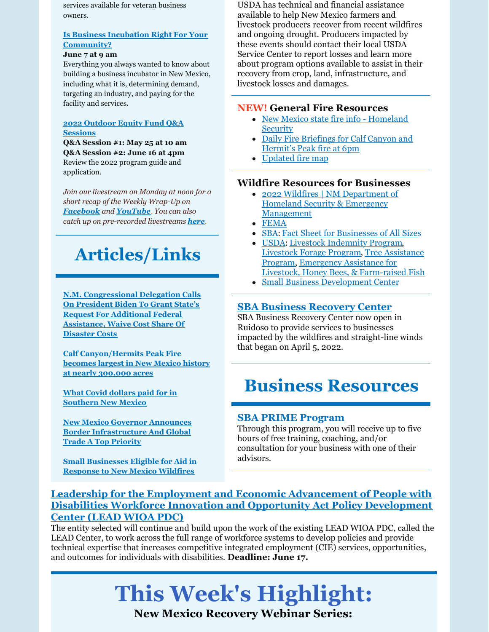services available for veteran business owners.

#### **Is Business Incubation Right For Your [Community?](https://register.gotowebinar.com/register/2425585746158013965)**

#### **June 7 at 9 am**

Everything you always wanted to know about building a business incubator in New Mexico, including what it is, determining demand, targeting an industry, and paying for the facility and services.

#### **2022 Outdoor Equity Fund Q&A [Sessions](https://www.nmoutside.com/outdoor-recreation-events)**

**Q&A Session #1: May 25 at 10 am Q&A Session #2: June 16 at 4pm** Review the 2022 program guide and application.

*Join our livestream on Monday at noon for a short recap of the Weekly Wrap-Up on [Facebook](https://www.facebook.com/NewMexicoEconomicDevelopment/) and [YouTube](https://www.youtube.com/channel/UCEVKlfuuLNl4R0VH6GsxZRQ). You can also catch up on pre-recorded livestreams [here](https://youtube.com/playlist?list=PLGKR-UpukkDLaIt7LYfG78X31Y3qDftkz).*

# **Articles/Links**

**N.M. [Congressional](https://www.lujan.senate.gov/newsroom/press-releases/n-m-congressional-delegation-calls-on-president-biden-to-grant-states-request-for-additional-federal-assistance-waive-cost-share-of-disaster-costs/) Delegation Calls On President Biden To Grant State's Request For Additional Federal Assistance, Waive Cost Share Of Disaster Costs**

**Calf [Canyon/Hermits](https://www.cnn.com/2022/05/16/weather/new-mexico-fires-monday/index.html) Peak Fire becomes largest in New Mexico history at nearly 300,000 acres**

**What Covid dollars paid for in [Southern](https://www.desertexposure.com/stories/what-covid-dollars-paid-for-in-southern-new-mexico,11557) New Mexico**

**New Mexico Governor Announces Border [Infrastructure](https://ladailypost.com/new-mexico-governor-announces-border-infrastructure-and-global-trade-a-top-priority/) And Global Trade A Top Priority**

**Small [Businesses](https://smallbiztrends.com/2022/05/sba-economic-aid-small-business-new-mexico-wildfires.html) Eligible for Aid in Response to New Mexico Wildfires**

USDA has technical and financial assistance available to help New Mexico farmers and livestock producers recover from recent wildfires and ongoing drought. Producers impacted by these events should contact their local USDA Service Center to report losses and learn more about program options available to assist in their recovery from crop, land, infrastructure, and livestock losses and damages.

#### **NEW! General Fire Resources**

- New Mexico state fire info [Homeland](https://www.facebook.com/NewMexicoDHSEM) **Security**
- Daily Fire [Briefings](https://www.facebook.com/CalfCanyonHermitsPeak/) for Calf Canyon and Hermit's Peak fire at 6pm
- [Updated](https://edac.maps.arcgis.com/apps/webappviewer/index.html?id=4cabea6542b34d029d401628690be8c3) fire map

#### **Wildfire Resources for Businesses**

- 2022 Wildfires | NM Department of Homeland Security & Emergency [Management](https://www.nmdhsem.org/2022-wildfires/)
- [FEMA](http://www.disasterassistance.gov)
- [SBA](https://www.sba.gov/funding-programs/disaster-assistance): Fact Sheet for [Businesses](https://disasterloanassistance.sba.gov/ela/s/article/Fact-Sheet-for-Businesses-of-All-Sizes) of All Sizes
- [USDA](https://www.fsa.usda.gov/programs-and-services/disaster-assistance-program/index): Livestock [Indemnity](https://www.fsa.usda.gov/programs-and-services/disaster-assistance-program/livestock-indemnity/index) Program, [Livestock](https://www.fsa.usda.gov/programs-and-services/disaster-assistance-program/livestock-forage/index) Forage Program, Tree Assistance Program, [Emergency](https://www.fsa.usda.gov/programs-and-services/disaster-assistance-program/tree-assistance-program/index) Assistance for Livestock, Honey Bees, & [Farm-raised](https://www.fsa.usda.gov/programs-and-services/disaster-assistance-program/emergency-assist-for-livestock-honey-bees-fish/index) Fish
- Small Business [Development](https://www.nmsbdc.org/) Center

#### **SBA Business [Recovery](https://www.sba.gov/article/2022/may/10/sba-open-business-recovery-center-ruidoso-help-businesses-impacted-wildfires-straight-line-winds) Center**

SBA Business Recovery Center now open in Ruidoso to provide services to businesses impacted by the wildfires and straight-line winds that began on April 5, 2022.

# **Business Resources**

#### **SBA PRIME [Program](https://www.prestamosloans.org/sba-prime-program/?msclkid=969f670ad12911ecb68b0ed815ed99d0)**

Through this program, you will receive up to five hours of free training, coaching, and/or consultation for your business with one of their advisors.

# **Leadership for the Employment and Economic [Advancement](https://www.grants.gov/web/grants/view-opportunity.html?oppId=337722) of People with Disabilities Workforce Innovation and Opportunity Act Policy Development Center (LEAD WIOA PDC)**

The entity selected will continue and build upon the work of the existing LEAD WIOA PDC, called the LEAD Center, to work across the full range of workforce systems to develop policies and provide technical expertise that increases competitive integrated employment (CIE) services, opportunities, and outcomes for individuals with disabilities. **Deadline: June 17.**

# **This Week's Highlight:**

**New Mexico Recovery Webinar Series:**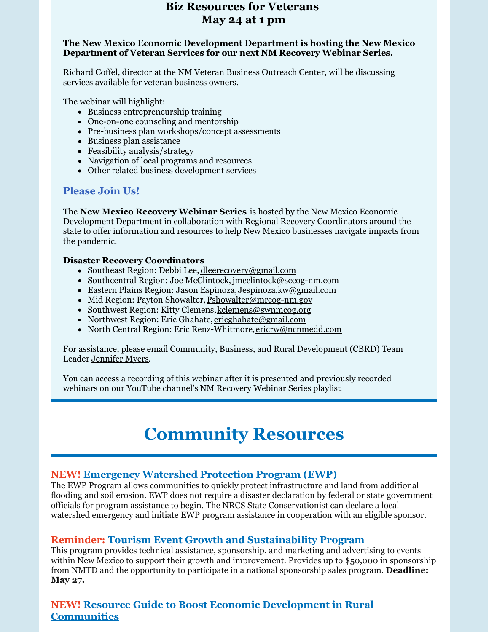# **Biz Resources for Veterans May 24 at 1 pm**

#### **The New Mexico Economic Development Department is hosting the New Mexico Department of Veteran Services for our next NM Recovery Webinar Series.**

Richard Coffel, director at the NM Veteran Business Outreach Center, will be discussing services available for veteran business owners.

The webinar will highlight:

- Business entrepreneurship training
- One-on-one counseling and mentorship
- Pre-business plan workshops/concept assessments
- Business plan assistance
- Feasibility analysis/strategy
- Navigation of local programs and resources
- Other related business development services

## **[Please](https://register.gotowebinar.com/register/1065240272700733968) Join Us!**

The **New Mexico Recovery Webinar Series** is hosted by the New Mexico Economic Development Department in collaboration with Regional Recovery Coordinators around the state to offer information and resources to help New Mexico businesses navigate impacts from the pandemic.

#### **Disaster Recovery Coordinators**

- Southeast Region: Debbi Lee, [dleerecovery@gmail.com](mailto:dleerecovery@gmail.com)
- Southcentral Region: Joe McClintock, [jmcclintock@sccog-nm.com](http://jmcclintock@sccog-nm.com/)
- Eastern Plains Region: Jason Espinoza,[Jespinoza.kw@gmail.com](mailto:Jespinoza.kw@gmail.com)
- Mid Region: Payton Showalter, [Pshowalter@mrcog-nm.gov](mailto:Pshowalter@mrcog-nm.gov)
- Southwest Region: Kitty Clemens, [kclemens@swnmcog.org](mailto:kclemens@swnmcog.org)
- Northwest Region: Eric Ghahate, [ericghahate@gmail.com](mailto:ericghahate@gmail.com)
- North Central Region: Eric Renz-Whitmore, [ericrw@ncnmedd.com](mailto:ericrw@ncnmedd.com)

For assistance, please email Community, Business, and Rural Development (CBRD) Team Leader [Jennifer](mailto:Jennifer.Myers@state.nm.us) Myers.

You can access a recording of this webinar after it is presented and previously recorded webinars on our YouTube channel's NM [Recovery](https://youtube.com/playlist?list=PLGKR-UpukkDJ7UbUt_bDsr9CN62M6CljQ) Webinar Series playlist.

# **Community Resources**

## **NEW! [Emergency](https://www.nrcs.usda.gov/wps/portal/nrcs/main/national/programs/landscape/ewpp/) Watershed Protection Program (EWP)**

The EWP Program allows communities to quickly protect infrastructure and land from additional flooding and soil erosion. EWP does not require a disaster declaration by federal or state government officials for program assistance to begin. The NRCS State Conservationist can declare a local watershed emergency and initiate EWP program assistance in cooperation with an eligible sponsor.

## **Reminder: Tourism Event Growth and [Sustainability](https://www.newmexico.org/industry/work-together/grants/tourism-event-growth-sustainability-program/) Program**

This program provides technical assistance, sponsorship, and marketing and advertising to events within New Mexico to support their growth and improvement. Provides up to \$50,000 in sponsorship from NMTD and the opportunity to participate in a national sponsorship sales program. **Deadline: May 27.**

**NEW! Resource Guide to Boost Economic Development in Rural [Communities](https://www.rd.usda.gov/sites/default/files/508F_RD_EDA_JointPlanningResourceGuide.pdf)**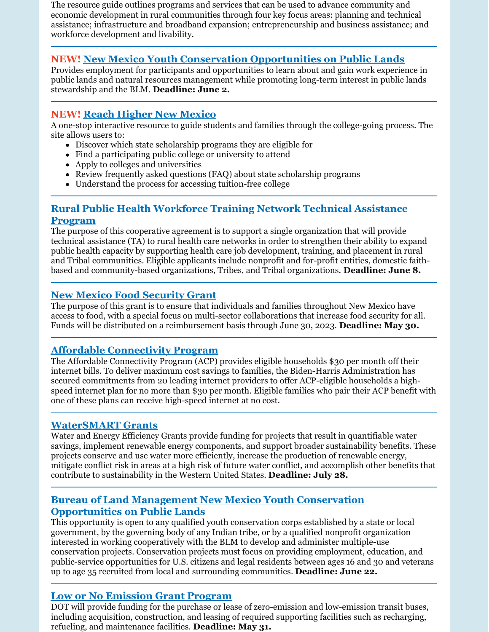The resource guide outlines programs and services that can be used to advance community and economic development in rural communities through four key focus areas: planning and technical assistance; infrastructure and broadband expansion; entrepreneurship and business assistance; and workforce development and livability.

# **NEW! New Mexico Youth Conservation [Opportunities](https://www.grants.gov/web/grants/view-opportunity.html?oppId=339979) on Public Lands**

Provides employment for participants and opportunities to learn about and gain work experience in public lands and natural resources management while promoting long-term interest in public lands stewardship and the BLM. **Deadline: June 2.**

# **NEW! Reach [Higher](https://www.reachhighernm.com/) New Mexico**

A one-stop interactive resource to guide students and families through the college-going process. The site allows users to:

- Discover which state scholarship programs they are eligible for
- Find a participating public college or university to attend
- Apply to colleges and universities
- Review frequently asked questions (FAQ) about state scholarship programs
- Understand the process for accessing tuition-free college

# **Rural Public Health [Workforce](https://www.grants.gov/web/grants/view-opportunity.html?oppId=339531) Training Network Technical Assistance Program**

The purpose of this cooperative agreement is to support a single organization that will provide technical assistance (TA) to rural health care networks in order to strengthen their ability to expand public health capacity by supporting health care job development, training, and placement in rural and Tribal communities. Eligible applicants include nonprofit and for-profit entities, domestic faithbased and community-based organizations, Tribes, and Tribal organizations. **Deadline: June 8.**

# **New Mexico Food [Security](https://forms.office.com/pages/responsepage.aspx?id=9GuqBDbUb0K_pAS3pw5g_4BmC-enmaBGrbrOJ7sesjNURTMyT0Q4QlQwMzNMV05ZTzZRUUpDUTdVWi4u) Grant**

The purpose of this grant is to ensure that individuals and families throughout New Mexico have access to food, with a special focus on multi-sector collaborations that increase food security for all. Funds will be distributed on a reimbursement basis through June 30, 2023. **Deadline: May 30.**

# **Affordable [Connectivity](https://www.whitehouse.gov/getinternet/?utm_source=www.getinternet.gov) Program**

The Affordable Connectivity Program (ACP) provides eligible households \$30 per month off their internet bills. To deliver maximum cost savings to families, the Biden-Harris Administration has secured commitments from 20 leading internet providers to offer ACP-eligible households a highspeed internet plan for no more than \$30 per month. Eligible families who pair their ACP benefit with one of these plans can receive high-speed internet at no cost.

# **[WaterSMART](https://www.grants.gov/web/grants/view-opportunity.html?oppId=339953) Grants**

Water and Energy Efficiency Grants provide funding for projects that result in quantifiable water savings, implement renewable energy components, and support broader sustainability benefits. These projects conserve and use water more efficiently, increase the production of renewable energy, mitigate conflict risk in areas at a high risk of future water conflict, and accomplish other benefits that contribute to sustainability in the Western United States. **Deadline: July 28.**

## **Bureau of Land Management New Mexico Youth Conservation [Opportunities](https://www.grants.gov/web/grants/view-opportunity.html?oppId=339979) on Public Lands**

This opportunity is open to any qualified youth conservation corps established by a state or local government, by the governing body of any Indian tribe, or by a qualified nonprofit organization interested in working cooperatively with the BLM to develop and administer multiple-use conservation projects. Conservation projects must focus on providing employment, education, and public-service opportunities for U.S. citizens and legal residents between ages 16 and 30 and veterans up to age 35 recruited from local and surrounding communities. **Deadline: June 22.**

## **Low or No [Emission](https://www.grants.gov/web/grants/view-opportunity.html?oppId=338546) Grant Program**

DOT will provide funding for the purchase or lease of zero-emission and low-emission transit buses, including acquisition, construction, and leasing of required supporting facilities such as recharging, refueling, and maintenance facilities. **Deadline: May 31.**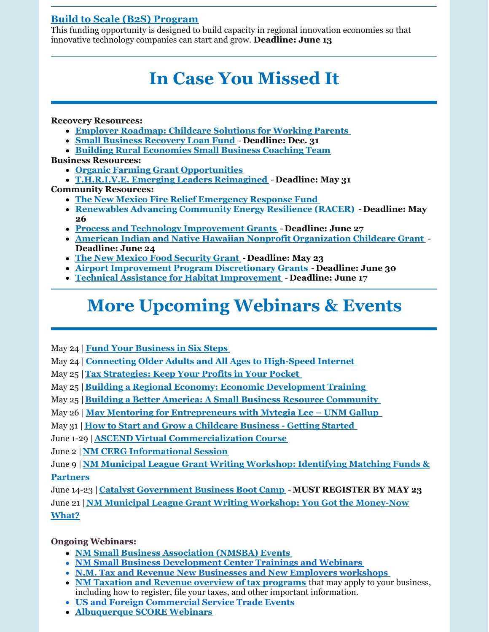# **Build to Scale (B2S) [Program](https://eda.gov/oie/buildtoscale/?utm_content=&utm_medium=email&utm_name=&utm_source=govdelivery&utm_term=)**

This funding opportunity is designed to build capacity in regional innovation economies so that innovative technology companies can start and grow. **Deadline: June 13**

# **In Case You Missed It**

**Recovery Resources:**

- **Employer [Roadmap:](https://www.uschamber.com/workforce/employer-roadmap-childcare-solutions-for-working-parents?utm_campaign=2022 AB Test&utm_medium=email&_hsmi=212015829&_hsenc=p2ANqtz-9pvyVAIrSBm6T5m0m2Nmzr7VE_93qEEcrTK_69AkSAkPN3uQgqWxgmM2MEcgY7ttZmmGxn9CSJ4_Jz4aHd7qkjjdynaaLmOwAgaO83BjuAvvoU18I&utm_content=212015829&utm_source=hs_email) Childcare Solutions for Working Parents**
- **Small Business [Recovery](https://www.nmfinance.com/small-business-recovery-loan-fund-2021/) Loan Fund Deadline: Dec. 31**
- **Building Rural [Economies](https://www.rcac.org/community-economic-development/building-rural-economies/small-business-coaching/) Small Business Coaching Team**

**Business Resources:**

- **Organic Farming Grant [Opportunities](https://nmdeptag.nmsu.edu/new-release/2022/grant-funding-available-for-new-mexico-organic-operations.html#:~:text=LAS CRUCES %E2%80%93 Educational grant opportunities are now,organic producers may apply to receive grant scholarships.)**
- **[T.H.R.I.V.E.](https://sbathrive.com/) Emerging Leaders Reimagined Deadline: May 31 Community Resources:**
	- **The New Mexico Fire Relief [Emergency](https://albuquerquecf.fcsuite.com/erp/donate/create?funit_id=4333) Response Fund**
	- **[Renewables](https://eere-exchange.energy.gov/Default.aspx?mc_cid=91cf0762b4&mc_eid=418c19adac#FoaIdd548cb92-3ac6-4fa8-9978-44111b818724) Advancing Community Energy Resilience (RACER) Deadline: May 26**
	- **Process and Technology [Improvement](https://www.grants.gov/web/grants/view-opportunity.html?oppId=339808) Grants Deadline: June 27**
	- **American Indian and Native Hawaiian Nonprofit [Organization](https://www.grants.gov/web/grants/view-opportunity.html?oppId=335555) Childcare Grant Deadline: June 24**
	- **The New Mexico Food [Security](https://www.nmdfa.state.nm.us/budget-division/new-mexico-food-security-grant/) Grant Deadline: May 23**
	- **Airport [Improvement](https://grantsforus.io/type-of-eligible-entity/organizations/local-government-agencies/2022-competitive-funding-opportunity-airport-improvement-program-discretionary-grants/#:~:text=2022 Competitive Funding Opportunity%3A Airport Improvement Program Discretionary,Airport Improvement Program %28AIP%29%2C per 49 U.S.C. 47115.) Program Discretionary Grants Deadline: June 30**
	- **Technical Assistance for Habitat [Improvement](https://www.grants.gov/web/grants/view-opportunity.html?oppId=339549) Deadline: June 17**

# **More Upcoming Webinars & Events**

May 24 | **Fund Your [Business](https://nmsbdc.ecenterdirect.com/events/13530) in Six Steps**

May 24 | **Connecting Older Adults and All Ages to [High-Speed](https://nlc-org.zoom.us/webinar/register/WN_yAL9B2IzT-KPicO-IIu70A) Internet**

- May 25 |**Tax [Strategies:](https://nmsbdc.ecenterdirect.com/events/13499) Keep Your Profits in Your Pocket**
- May 25 |**Building a Regional Economy: Economic [Development](https://events.r20.constantcontact.com/register/eventReg?oeidk=a07ej5105c6de971efe&oseq=&c=&ch=) Training**

May 25 |**Building a Better America: A Small Business Resource [Community](https://publicprivatestrategies.zoom.us/webinar/register/WN_FQiv3RVVREiU1on9oYRXQw?utm_medium=email&utm_source=govdelivery)**

May 26 | **May Mentoring for [Entrepreneurs](https://innovations.unm.edu/event/may-mentoring-for-entrepreneurs-with-mytegia-lee-unm-gallup/) with Mytegia Lee – UNM Gallup**

May 31 | **How to Start and Grow a [Childcare](https://clients.wesst.org/workshop.aspx?ekey=20420118) Business - Getting Started**

June 1-29 |**ASCEND Virtual [Commercialization](https://docs.google.com/forms/d/e/1FAIpQLSe3GJTh12rYtEMWppXkWuDXnGMfu_A-kp-zrVKsz4Cn8ARH1Q/viewform) Course**

June 2 |**NM CERG [Informational](https://www.eventbrite.com/e/nm-cerg-informational-session-tickets-323419936737?aff=ebdssbonlinesearch) Session**

June 9 |**NM Municipal League Grant Writing [Workshop:](https://gcc02.safelinks.protection.outlook.com/?url=https%3A%2F%2Fr20.rs6.net%2Ftn.jsp%3Ff%3D001rDZa5v6kIi8ZPXLfrwXqtEnPjxT0sH8Y4w_ITbcgX6TsLn2WeTmE_7a0qu73xd9FRb0ME0nNU7_bIC9IzjjcVS4ltSRnmTFfAOfNq9Bq1qO3mgH5N8HFDxTTaRFXYY8MGp35uoaAiNyLQAWPSes_UqToijkYxLvkKzvLvo6fo5ktXQ0wHX17ZV2A_yv_P1Td%26c%3DRneGoejP-gaPq7M77ZLvwZyZVQNLavCyzj3xywNvxWPBRBw4tgejZg%3D%3D%26ch%3DJB781o2OyGrvV9y5GzkHNyo6FYNOHWEFJgyb25IckXVw6dRRAL3hnw%3D%3D&data=04%7C01%7Cjennifer.myers%40state.nm.us%7Ce507173c32804900a0d708da1721a825%7C04aa6bf4d436426fbfa404b7a70e60ff%7C0%7C0%7C637847730574058851%7CUnknown%7CTWFpbGZsb3d8eyJWIjoiMC4wLjAwMDAiLCJQIjoiV2luMzIiLCJBTiI6Ik1haWwiLCJXVCI6Mn0%3D%7C3000&sdata=ldUHM4TWbk4fWIoaYOoBMl0R8Vnazc9daigVIO6wjnM%3D&reserved=0) Identifying Matching Funds & Partners**

June 14-23 | **Catalyst [Government](https://catalystaccelerator.space/catalyst-government-business-boot-camp/) Business Boot Camp** - **MUST REGISTER BY MAY 23** June 21 |**NM Municipal League Grant Writing Workshop: You Got the [Money-Now](https://gcc02.safelinks.protection.outlook.com/?url=https%3A%2F%2Fr20.rs6.net%2Ftn.jsp%3Ff%3D001rDZa5v6kIi8ZPXLfrwXqtEnPjxT0sH8Y4w_ITbcgX6TsLn2WeTmE_7a0qu73xd9F4m8NWfBKj2C_7iVDTAAupQCrsvaxoGLLUzkeBaqRVvLTUe6SMVvVEdVrUAsjHs6uYI1vWLMTa8BY3TyIRKsG5pjyaDfLMcrkJ7QGE5Zy7twA3QhoSVNuNcLIFGNEVOHC%26c%3DRneGoejP-gaPq7M77ZLvwZyZVQNLavCyzj3xywNvxWPBRBw4tgejZg%3D%3D%26ch%3DJB781o2OyGrvV9y5GzkHNyo6FYNOHWEFJgyb25IckXVw6dRRAL3hnw%3D%3D&data=04%7C01%7Cjennifer.myers%40state.nm.us%7Ce507173c32804900a0d708da1721a825%7C04aa6bf4d436426fbfa404b7a70e60ff%7C0%7C0%7C637847730574058851%7CUnknown%7CTWFpbGZsb3d8eyJWIjoiMC4wLjAwMDAiLCJQIjoiV2luMzIiLCJBTiI6Ik1haWwiLCJXVCI6Mn0%3D%7C3000&sdata=3fqEcUOHtj5F%2FrfJQNiWrim1hGESWSGZ9z5yF3Akqio%3D&reserved=0) What?**

**Ongoing Webinars:**

- **NM Small Business [Association](https://www.sba.gov/offices/district/nm/albuquerque) (NMSBA) Events**
- **NM Small Business [Development](http://www.nmsbdc.org/workshop-and-events.aspx) Center Trainings and Webinars**
- **N.M. Tax and Revenue New [Businesses](http://www.tax.newmexico.gov/workshop-schedule.aspx) and New Employers workshops**
- **NM Taxation and Revenue overview of tax [programs](https://www.youtube.com/watch?v=eiGiS04Cwbk)** that may apply to your business, including how to register, file your taxes, and other important information.
- **US and Foreign [Commercial](https://www.trade.gov/trade-events-search#/search?event_types=Seminar-Webinar&offset=0&start_date_range%5Bfrom%5D=2019-12-01&start_date_range%5Bto%5D=2024-03-31) Service Trade Events**
- **[Albuquerque](https://albuquerque.score.org/our-workshops-0) SCORE Webinars**